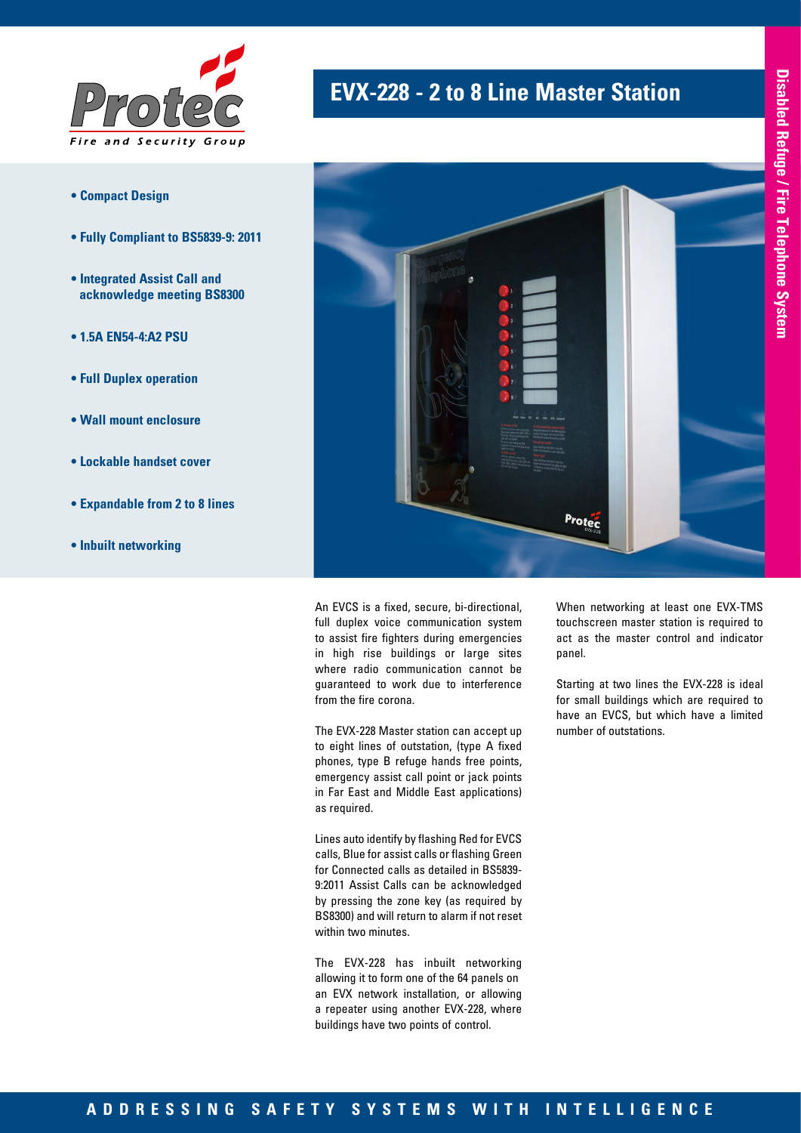

- **Compact Design**
- **Fully Compliant to BS5839-9: 2011**
- **Integrated Assist Call and acknowledge meeting BS8300**
- **1.5A EN54-4:A2 PSU**
- **Full Duplex operation**
- **Wall mount enclosure**
- **Lockable handset cover**
- **Expandable from 2 to 8 lines**
- **Inbuilt networking**

## **EVX-228 - 2 to 8 Line Master Station**



An EVCS is a fixed, secure, bi-directional, full duplex voice communication system to assist fire fighters during emergencies in high rise buildings or large sites where radio communication cannot be guaranteed to work due to interference from the fire corona.

The EVX-228 Master station can accept up to eight lines of outstation, (type A fixed phones, type B refuge hands free points, emergency assist call point or jack points in Far East and Middle East applications) as required.

Lines auto identify by flashing Red for EVCS calls, Blue for assist calls or flashing Green for Connected calls as detailed in BS5839- 9:2011 Assist Calls can be acknowledged by pressing the zone key (as required by BS8300) and will return to alarm if not reset within two minutes.

The EVX-228 has inbuilt networking allowing it to form one of the 64 panels on an EVX network installation, or allowing a repeater using another EVX-228, where buildings have two points of control.

When networking at least one EVX-TMS touchscreen master station is required to act as the master control and indicator panel.

Starting at two lines the EVX-228 is ideal for small buildings which are required to have an EVCS, but which have a limited number of outstations.